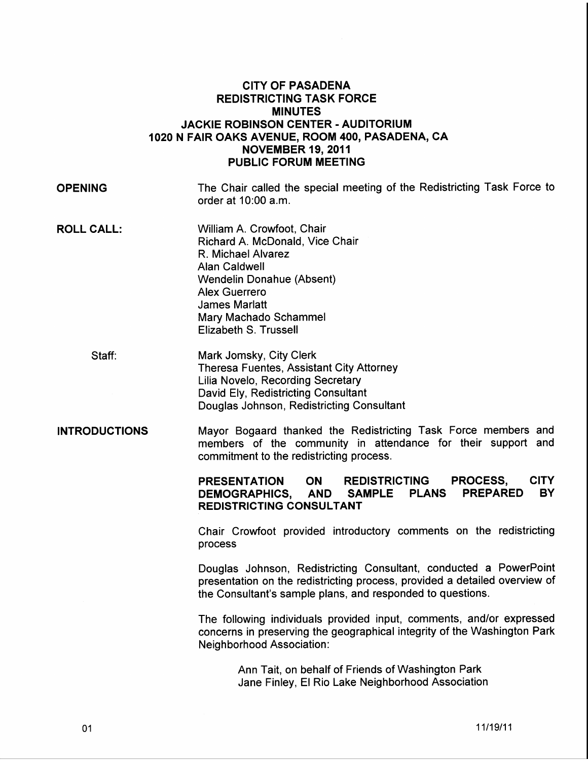## CITY OF PASADENA REDISTRICTING TASK FORCE MINUTES JACKIE ROBINSON CENTER- AUDITORIUM 1020 N FAIR OAKS AVENUE, ROOM 400, PASADENA, CA NOVEMBER 19,2011 PUBLIC FORUM MEETING

**OPENING** The Chair called the special meeting of the Redistricting Task Force to order at 10:00 a.m.

- **ROLL CALL:** William A. Crowfoot, Chair Richard A. McDonald, Vice Chair R. Michael Alvarez Alan Caldwell Wendelin Donahue (Absent) Alex Guerrero James Marlatt Mary Machado Schammel Elizabeth S. Trussell
	- Staff: Mark Jomsky, City Clerk Theresa Fuentes, Assistant City Attorney Lilia Novelo, Recording Secretary David Ely, Redistricting Consultant Douglas Johnson, Redistricting Consultant
- INTRODUCTIONS Mayor Bogaard thanked the Redistricting Task Force members and members of the community in attendance for their support and commitment to the redistricting process.

PRESENTATION ON REDISTRICTING PROCESS, CITY DEMOGRAPHICS, AND SAMPLE PLANS PREPARED BY REDISTRICTING CONSULTANT

Chair Crowfoot provided introductory comments on the redistricting process

Douglas Johnson, Redistricting Consultant, conducted a PowerPoint presentation on the redistricting process, provided a detailed overview of the Consultant's sample plans, and responded to questions.

The following individuals provided input, comments, and/or expressed concerns in preserving the geographical integrity of the Washington Park Neighborhood Association:

> Ann Tait, on behalf of Friends of Washington Park Jane Finley, El Rio Lake Neighborhood Association